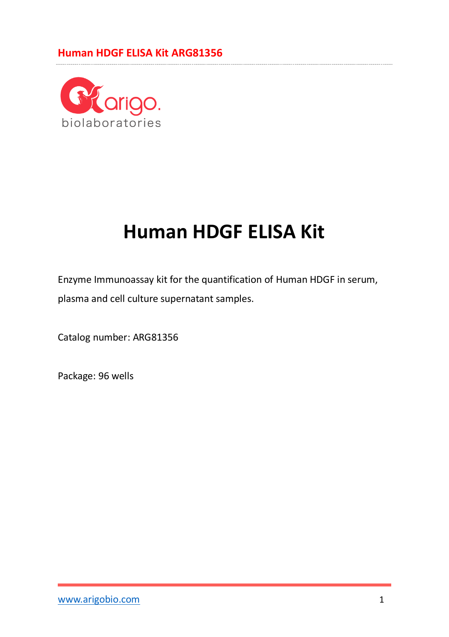

# **Human HDGF ELISA Kit**

Enzyme Immunoassay kit for the quantification of Human HDGF in serum, plasma and cell culture supernatant samples.

Catalog number: ARG81356

Package: 96 wells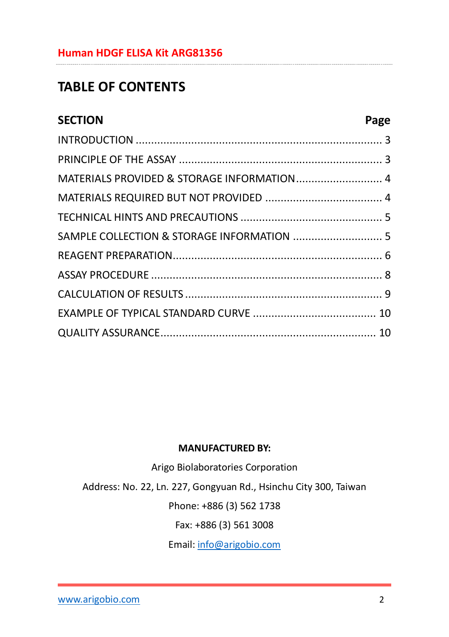# **TABLE OF CONTENTS**

| <b>SECTION</b>                             | Page |
|--------------------------------------------|------|
|                                            |      |
|                                            |      |
| MATERIALS PROVIDED & STORAGE INFORMATION 4 |      |
|                                            |      |
|                                            |      |
| SAMPLE COLLECTION & STORAGE INFORMATION  5 |      |
|                                            |      |
|                                            |      |
|                                            |      |
|                                            |      |
|                                            |      |

#### **MANUFACTURED BY:**

Arigo Biolaboratories Corporation

Address: No. 22, Ln. 227, Gongyuan Rd., Hsinchu City 300, Taiwan

Phone: +886 (3) 562 1738

Fax: +886 (3) 561 3008

Email[: info@arigobio.com](mailto:info@arigobio.com)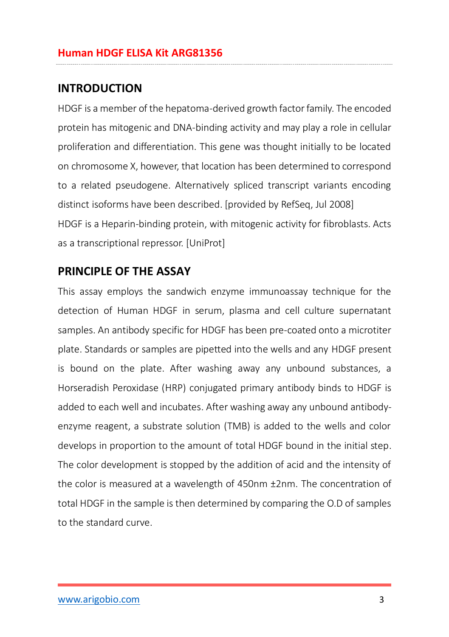### <span id="page-2-0"></span>**INTRODUCTION**

HDGF is a member of the hepatoma-derived growth factor family. The encoded protein has mitogenic and DNA-binding activity and may play a role in cellular proliferation and differentiation. This gene was thought initially to be located on chromosome X, however, that location has been determined to correspond to a related pseudogene. Alternatively spliced transcript variants encoding distinct isoforms have been described. [provided by RefSeq, Jul 2008] HDGF is a Heparin-binding protein, with mitogenic activity for fibroblasts. Acts as a transcriptional repressor. [UniProt]

### <span id="page-2-1"></span>**PRINCIPLE OF THE ASSAY**

This assay employs the sandwich enzyme immunoassay technique for the detection of Human HDGF in serum, plasma and cell culture supernatant samples. An antibody specific for HDGF has been pre-coated onto a microtiter plate. Standards or samples are pipetted into the wells and any HDGF present is bound on the plate. After washing away any unbound substances, a Horseradish Peroxidase (HRP) conjugated primary antibody binds to HDGF is added to each well and incubates. After washing away any unbound antibodyenzyme reagent, a substrate solution (TMB) is added to the wells and color develops in proportion to the amount of total HDGF bound in the initial step. The color development is stopped by the addition of acid and the intensity of the color is measured at a wavelength of 450nm ±2nm. The concentration of total HDGF in the sample is then determined by comparing the O.D of samples to the standard curve.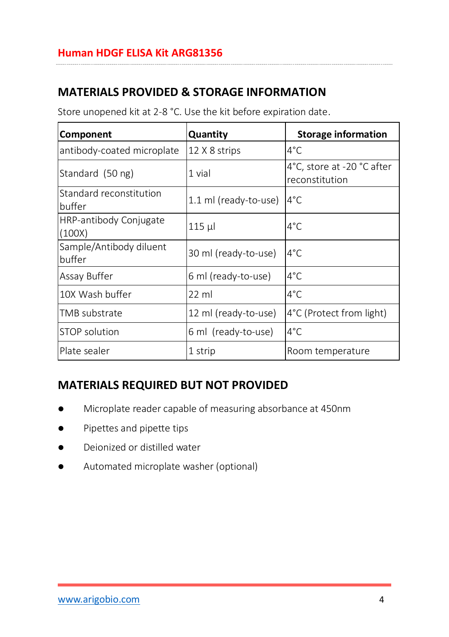# <span id="page-3-0"></span>**MATERIALS PROVIDED & STORAGE INFORMATION**

Store unopened kit at 2-8 °C. Use the kit before expiration date.

| <b>Component</b>                  | Quantity              | <b>Storage information</b>                   |
|-----------------------------------|-----------------------|----------------------------------------------|
| antibody-coated microplate        | 12 X 8 strips         | 4°C                                          |
| Standard (50 ng)                  | 1 vial                | 4°C, store at -20 °C after<br>reconstitution |
| Standard reconstitution<br>buffer | 1.1 ml (ready-to-use) | $4^{\circ}$ C                                |
| HRP-antibody Conjugate<br>(100X)  | 115 µl                | 4°C                                          |
| Sample/Antibody diluent<br>buffer | 30 ml (ready-to-use)  | $4^{\circ}$ C                                |
| Assay Buffer                      | 6 ml (ready-to-use)   | $4^{\circ}$ C                                |
| 10X Wash buffer                   | $22$ ml               | 4°C                                          |
| TMB substrate                     | 12 ml (ready-to-use)  | 4°C (Protect from light)                     |
| STOP solution                     | 6 ml (ready-to-use)   | $4^{\circ}$ C                                |
| Plate sealer                      | 1 strip               | Room temperature                             |

## <span id="page-3-1"></span>**MATERIALS REQUIRED BUT NOT PROVIDED**

- Microplate reader capable of measuring absorbance at 450nm
- Pipettes and pipette tips
- Deionized or distilled water
- Automated microplate washer (optional)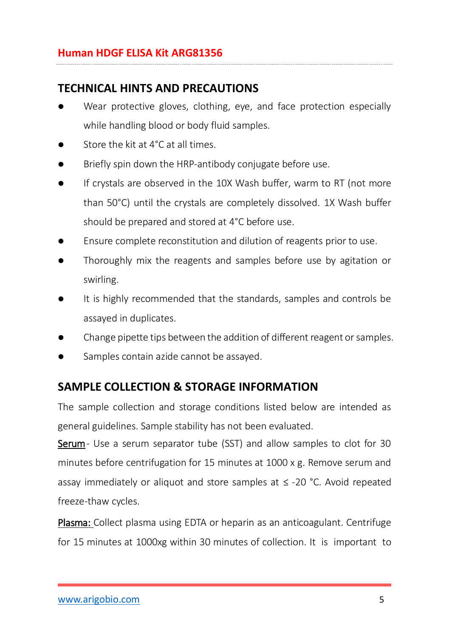## <span id="page-4-0"></span>**TECHNICAL HINTS AND PRECAUTIONS**

- Wear protective gloves, clothing, eye, and face protection especially while handling blood or body fluid samples.
- Store the kit at 4°C at all times.
- Briefly spin down the HRP-antibody conjugate before use.
- If crystals are observed in the 10X Wash buffer, warm to RT (not more than 50°C) until the crystals are completely dissolved. 1X Wash buffer should be prepared and stored at 4°C before use.
- Ensure complete reconstitution and dilution of reagents prior to use.
- Thoroughly mix the reagents and samples before use by agitation or swirling.
- It is highly recommended that the standards, samples and controls be assayed in duplicates.
- Change pipette tips between the addition of different reagent or samples.
- Samples contain azide cannot be assayed.

### <span id="page-4-1"></span>**SAMPLE COLLECTION & STORAGE INFORMATION**

The sample collection and storage conditions listed below are intended as general guidelines. Sample stability has not been evaluated.

Serum- Use a serum separator tube (SST) and allow samples to clot for 30 minutes before centrifugation for 15 minutes at 1000 x g. Remove serum and assay immediately or aliquot and store samples at  $\leq$  -20 °C. Avoid repeated freeze-thaw cycles.

Plasma: Collect plasma using EDTA or heparin as an anticoagulant. Centrifuge for 15 minutes at 1000xg within 30 minutes of collection. It is important to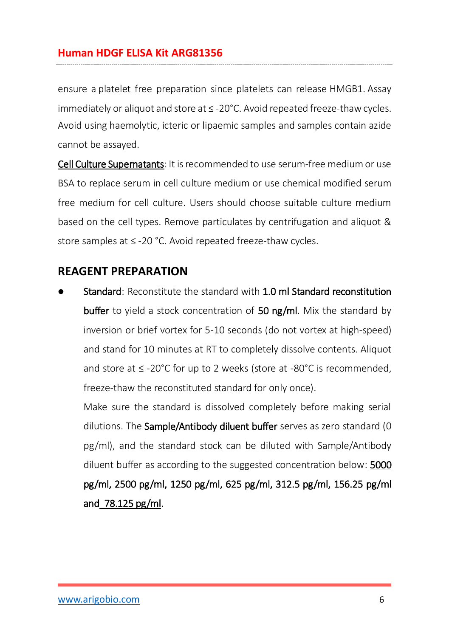ensure a platelet free preparation since platelets can release HMGB1. Assay immediately or aliquot and store at ≤ -20°C. Avoid repeated freeze-thaw cycles. Avoid using haemolytic, icteric or lipaemic samples and samples contain azide cannot be assayed.

Cell Culture Supernatants: It is recommended to use serum-free medium or use BSA to replace serum in cell culture medium or use chemical modified serum free medium for cell culture. Users should choose suitable culture medium based on the cell types. Remove particulates by centrifugation and aliquot & store samples at ≤ -20 °C. Avoid repeated freeze-thaw cycles.

### <span id="page-5-0"></span>**REAGENT PREPARATION**

 Standard: Reconstitute the standard with 1.0 ml Standard reconstitution buffer to yield a stock concentration of 50 ng/ml. Mix the standard by inversion or brief vortex for 5-10 seconds (do not vortex at high-speed) and stand for 10 minutes at RT to completely dissolve contents. Aliquot and store at ≤ -20°C for up to 2 weeks (store at -80°C is recommended, freeze-thaw the reconstituted standard for only once).

Make sure the standard is dissolved completely before making serial dilutions. The Sample/Antibody diluent buffer serves as zero standard (0 pg/ml), and the standard stock can be diluted with Sample/Antibody diluent buffer as according to the suggested concentration below: 5000 pg/ml, 2500 pg/ml, 1250 pg/ml, 625 pg/ml, 312.5 pg/ml, 156.25 pg/ml and 78.125 pg/ml.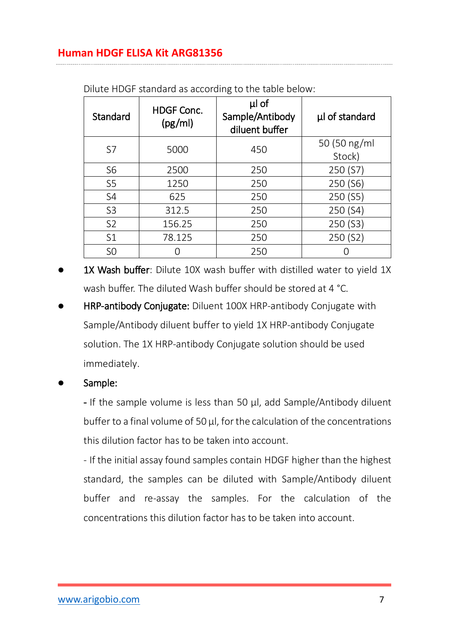| Standard       | <b>HDGF Conc.</b><br>(pg/ml) | µl of<br>Sample/Antibody<br>diluent buffer | µl of standard         |
|----------------|------------------------------|--------------------------------------------|------------------------|
| S7             | 5000                         | 450                                        | 50 (50 ng/ml<br>Stock) |
| S <sub>6</sub> | 2500                         | 250                                        | 250 (S7)               |
| S <sub>5</sub> | 1250                         | 250                                        | 250 (S6)               |
| S <sub>4</sub> | 625                          | 250                                        | 250 (S5)               |
| S <sub>3</sub> | 312.5                        | 250                                        | 250 (S4)               |
| S <sub>2</sub> | 156.25                       | 250                                        | 250 (S3)               |
| S1             | 78.125                       | 250                                        | 250 (S2)               |
| S <sub>O</sub> |                              | 250                                        |                        |

Dilute HDGF standard as according to the table below:

- 1X Wash buffer: Dilute 10X wash buffer with distilled water to yield 1X wash buffer. The diluted Wash buffer should be stored at 4 °C.
- HRP-antibody Conjugate: Diluent 100X HRP-antibody Conjugate with Sample/Antibody diluent buffer to yield 1X HRP-antibody Conjugate solution. The 1X HRP-antibody Conjugate solution should be used immediately.

#### Sample:

- If the sample volume is less than 50 µl, add Sample/Antibody diluent buffer to a final volume of 50 µl, for the calculation of the concentrations this dilution factor has to be taken into account.

- If the initial assay found samples contain HDGF higher than the highest standard, the samples can be diluted with Sample/Antibody diluent buffer and re-assay the samples. For the calculation of the concentrations this dilution factor has to be taken into account.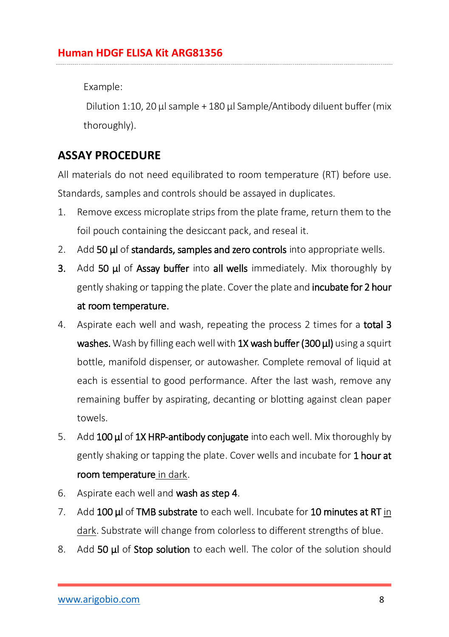Example:

Dilution 1:10, 20  $\mu$  sample + 180  $\mu$  Sample/Antibody diluent buffer (mix thoroughly).

# <span id="page-7-0"></span>**ASSAY PROCEDURE**

All materials do not need equilibrated to room temperature (RT) before use. Standards, samples and controls should be assayed in duplicates.

- 1. Remove excess microplate strips from the plate frame, return them to the foil pouch containing the desiccant pack, and reseal it.
- 2. Add 50 ul of standards, samples and zero controls into appropriate wells.
- 3. Add 50 µl of Assay buffer into all wells immediately. Mix thoroughly by gently shaking or tapping the plate. Cover the plate and **incubate for 2 hour** at room temperature.
- 4. Aspirate each well and wash, repeating the process 2 times for a total 3 washes. Wash by filling each well with 1X wash buffer (300 μl) using a squirt bottle, manifold dispenser, or autowasher. Complete removal of liquid at each is essential to good performance. After the last wash, remove any remaining buffer by aspirating, decanting or blotting against clean paper towels.
- 5. Add 100 µ of 1X HRP-antibody conjugate into each well. Mix thoroughly by gently shaking or tapping the plate. Cover wells and incubate for 1 hour at room temperature in dark.
- 6. Aspirate each well and wash as step 4.
- 7. Add 100 **µ** of TMB substrate to each well. Incubate for 10 minutes at RT in dark. Substrate will change from colorless to different strengths of blue.
- 8. Add 50 μl of Stop solution to each well. The color of the solution should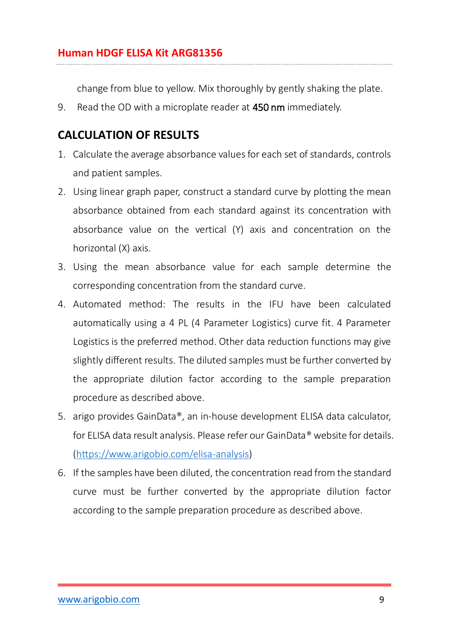change from blue to yellow. Mix thoroughly by gently shaking the plate.

<span id="page-8-0"></span>9. Read the OD with a microplate reader at 450 nm immediately.

# **CALCULATION OF RESULTS**

- 1. Calculate the average absorbance values for each set of standards, controls and patient samples.
- 2. Using linear graph paper, construct a standard curve by plotting the mean absorbance obtained from each standard against its concentration with absorbance value on the vertical (Y) axis and concentration on the horizontal (X) axis.
- 3. Using the mean absorbance value for each sample determine the corresponding concentration from the standard curve.
- 4. Automated method: The results in the IFU have been calculated automatically using a 4 PL (4 Parameter Logistics) curve fit. 4 Parameter Logistics is the preferred method. Other data reduction functions may give slightly different results. The diluted samples must be further converted by the appropriate dilution factor according to the sample preparation procedure as described above.
- 5. arigo provides GainData®, an in-house development ELISA data calculator, for ELISA data result analysis. Please refer our GainData® website for details. [\(https://www.arigobio.com/elisa-analysis\)](https://www.arigobio.com/elisa-analysis)
- 6. If the samples have been diluted, the concentration read from the standard curve must be further converted by the appropriate dilution factor according to the sample preparation procedure as described above.